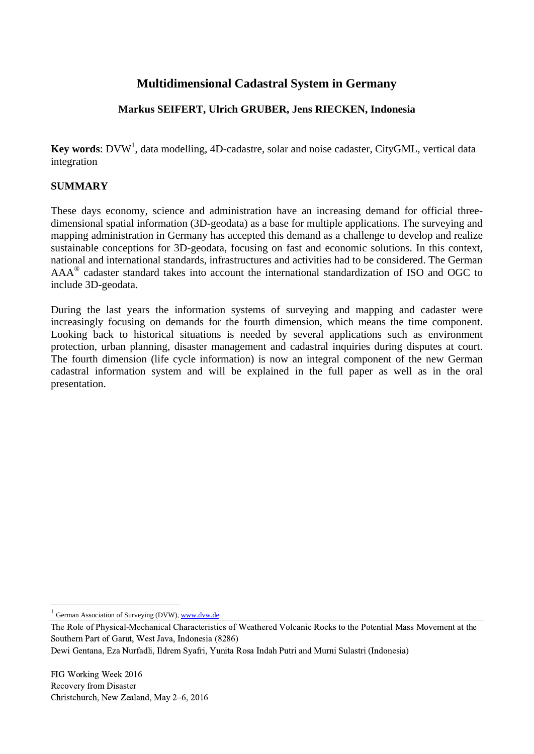# **Multidimensional Cadastral System in Germany**

## **Markus SEIFERT, Ulrich GRUBER, Jens RIECKEN, Indonesia**

Key words: DVW<sup>1</sup>, data modelling, 4D-cadastre, solar and noise cadaster, CityGML, vertical data integration

## **SUMMARY**

These days economy, science and administration have an increasing demand for official threedimensional spatial information (3D-geodata) as a base for multiple applications. The surveying and mapping administration in Germany has accepted this demand as a challenge to develop and realize sustainable conceptions for 3D-geodata, focusing on fast and economic solutions. In this context, national and international standards, infrastructures and activities had to be considered. The German  $AAA^{\circledR}$  cadaster standard takes into account the international standardization of ISO and OGC to include 3D-geodata.

During the last years the information systems of surveying and mapping and cadaster were increasingly focusing on demands for the fourth dimension, which means the time component. Looking back to historical situations is needed by several applications such as environment protection, urban planning, disaster management and cadastral inquiries during disputes at court. The fourth dimension (life cycle information) is now an integral component of the new German cadastral information system and will be explained in the full paper as well as in the oral presentation.

 $\overline{\phantom{a}}$ 

<sup>1</sup> German Association of Surveying (DVW), [www.dvw.de](http://www.dvw.de/)

The Role of Physical-Mechanical Characteristics of Weathered Volcanic Rocks to the Potential Mass Movement at the Southern Part of Garut, West Java, Indonesia (8286)

Dewi Gentana, Eza Nurfadli, Ildrem Syafri, Yunita Rosa Indah Putri and Murni Sulastri (Indonesia)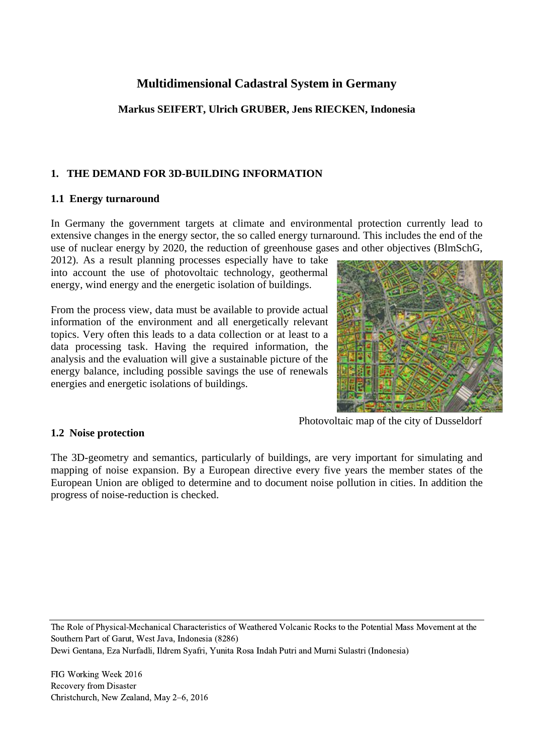## **Multidimensional Cadastral System in Germany**

## **Markus SEIFERT, Ulrich GRUBER, Jens RIECKEN, Indonesia**

## **1. THE DEMAND FOR 3D-BUILDING INFORMATION**

### **1.1 Energy turnaround**

In Germany the government targets at climate and environmental protection currently lead to extensive changes in the energy sector, the so called energy turnaround. This includes the end of the use of nuclear energy by 2020, the reduction of greenhouse gases and other objectives (BlmSchG,

2012). As a result planning processes especially have to take into account the use of photovoltaic technology, geothermal energy, wind energy and the energetic isolation of buildings.

From the process view, data must be available to provide actual information of the environment and all energetically relevant topics. Very often this leads to a data collection or at least to a data processing task. Having the required information, the analysis and the evaluation will give a sustainable picture of the energy balance, including possible savings the use of renewals energies and energetic isolations of buildings.



Photovoltaic map of the city of Dusseldorf

### **1.2 Noise protection**

The 3D-geometry and semantics, particularly of buildings, are very important for simulating and mapping of noise expansion. By a European directive every five years the member states of the European Union are obliged to determine and to document noise pollution in cities. In addition the progress of noise-reduction is checked.

The Role of Physical-Mechanical Characteristics of Weathered Volcanic Rocks to the Potential Mass Movement at the Southern Part of Garut, West Java, Indonesia (8286)

Dewi Gentana, Eza Nurfadli, Ildrem Syafri, Yunita Rosa Indah Putri and Murni Sulastri (Indonesia)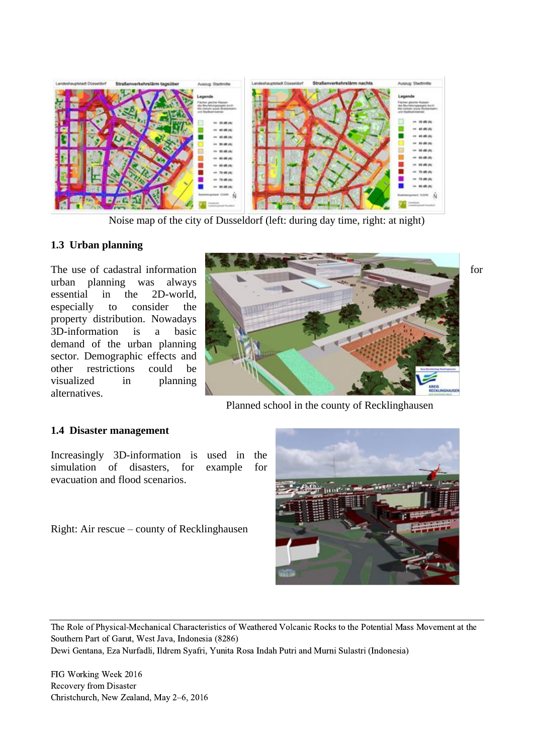

Noise map of the city of Dusseldorf (left: during day time, right: at night)

#### **1.3 Urban planning**

urban planning was always essential in the 2D-world, especially to consider the property distribution. Nowadays 3D-information is a basic demand of the urban planning sector. Demographic effects and other restrictions could be visualized in planning alternatives.



Planned school in the county of Recklinghausen

#### **1.4 Disaster management**

Increasingly 3D-information is used in the simulation of disasters, for example for evacuation and flood scenarios.

Right: Air rescue – county of Recklinghausen



The Role of Physical-Mechanical Characteristics of Weathered Volcanic Rocks to the Potential Mass Movement at the Southern Part of Garut, West Java, Indonesia (8286)

Dewi Gentana, Eza Nurfadli, Ildrem Syafri, Yunita Rosa Indah Putri and Murni Sulastri (Indonesia)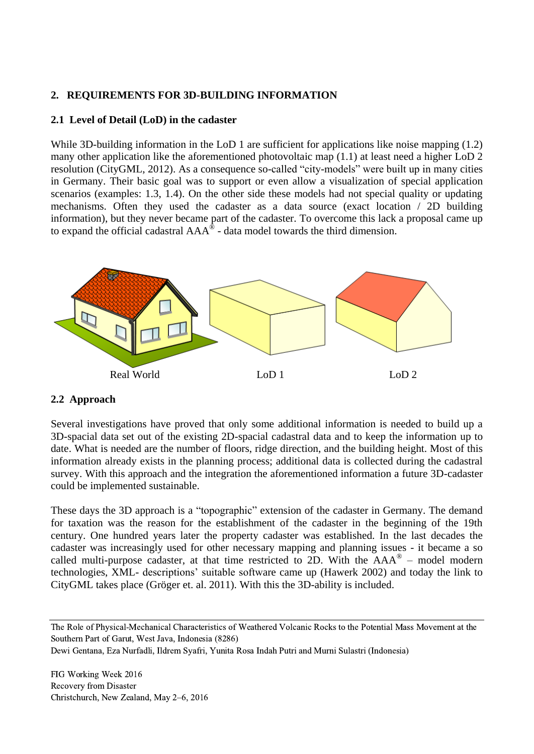### **2. REQUIREMENTS FOR 3D-BUILDING INFORMATION**

### **2.1 Level of Detail (LoD) in the cadaster**

While 3D-building information in the LoD 1 are sufficient for applications like noise mapping (1.2) many other application like the aforementioned photovoltaic map (1.1) at least need a higher LoD 2 resolution (CityGML, 2012). As a consequence so-called "city-models" were built up in many cities in Germany. Their basic goal was to support or even allow a visualization of special application scenarios (examples: 1.3, 1.4). On the other side these models had not special quality or updating mechanisms. Often they used the cadaster as a data source (exact location / 2D building information), but they never became part of the cadaster. To overcome this lack a proposal came up to expand the official cadastral  $AAA^{\circ}$  - data model towards the third dimension.



### **2.2 Approach**

Several investigations have proved that only some additional information is needed to build up a 3D-spacial data set out of the existing 2D-spacial cadastral data and to keep the information up to date. What is needed are the number of floors, ridge direction, and the building height. Most of this information already exists in the planning process; additional data is collected during the cadastral survey. With this approach and the integration the aforementioned information a future 3D-cadaster could be implemented sustainable.

These days the 3D approach is a "topographic" extension of the cadaster in Germany. The demand for taxation was the reason for the establishment of the cadaster in the beginning of the 19th century. One hundred years later the property cadaster was established. In the last decades the cadaster was increasingly used for other necessary mapping and planning issues - it became a so called multi-purpose cadaster, at that time restricted to 2D. With the  $AAA^{\circledast}$  – model modern technologies, XML- descriptions' suitable software came up (Hawerk 2002) and today the link to CityGML takes place (Gröger et. al. 2011). With this the 3D-ability is included.

The Role of Physical-Mechanical Characteristics of Weathered Volcanic Rocks to the Potential Mass Movement at the Southern Part of Garut, West Java, Indonesia (8286)

Dewi Gentana, Eza Nurfadli, Ildrem Syafri, Yunita Rosa Indah Putri and Murni Sulastri (Indonesia)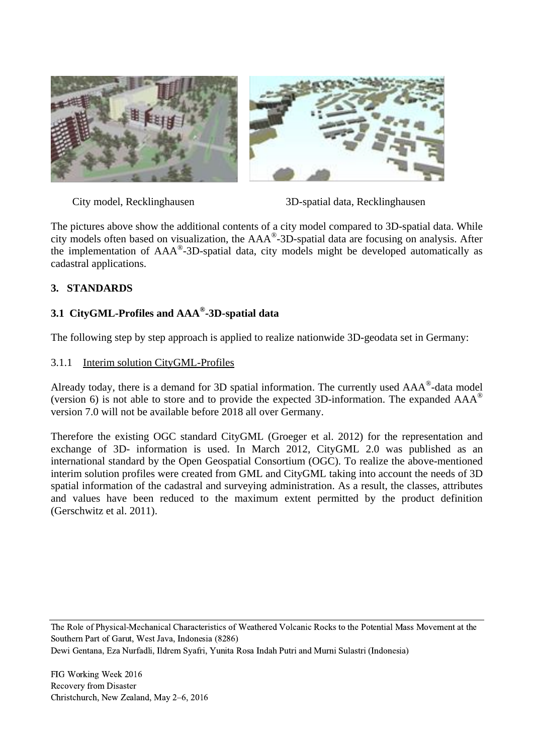

City model, Recklinghausen 3D-spatial data, Recklinghausen

The pictures above show the additional contents of a city model compared to 3D-spatial data. While city models often based on visualization, the AAA® -3D-spatial data are focusing on analysis. After the implementation of AAA® -3D-spatial data, city models might be developed automatically as cadastral applications.

## **3. STANDARDS**

## **3.1 CityGML-Profiles and AAA® -3D-spatial data**

The following step by step approach is applied to realize nationwide 3D-geodata set in Germany:

### 3.1.1 Interim solution CityGML-Profiles

Already today, there is a demand for 3D spatial information. The currently used  $AAA^{\circ}$ -data model (version 6) is not able to store and to provide the expected 3D-information. The expanded  $AAA^{\circ}$ version 7.0 will not be available before 2018 all over Germany.

Therefore the existing OGC standard CityGML (Groeger et al. 2012) for the representation and exchange of 3D- information is used. In March 2012, CityGML 2.0 was published as an international standard by the Open Geospatial Consortium (OGC). To realize the above-mentioned interim solution profiles were created from GML and CityGML taking into account the needs of 3D spatial information of the cadastral and surveying administration. As a result, the classes, attributes and values have been reduced to the maximum extent permitted by the product definition (Gerschwitz et al. 2011).

The Role of Physical-Mechanical Characteristics of Weathered Volcanic Rocks to the Potential Mass Movement at the Southern Part of Garut, West Java, Indonesia (8286)

Dewi Gentana, Eza Nurfadli, Ildrem Syafri, Yunita Rosa Indah Putri and Murni Sulastri (Indonesia)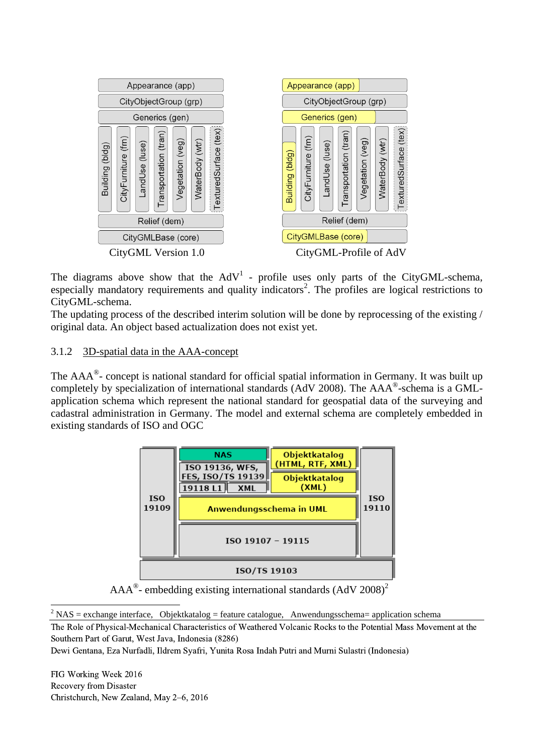

The diagrams above show that the  $AdV<sup>1</sup>$  - profile uses only parts of the CityGML-schema, especially mandatory requirements and quality indicators<sup>2</sup>. The profiles are logical restrictions to CityGML-schema.

The updating process of the described interim solution will be done by reprocessing of the existing / original data. An object based actualization does not exist yet.

### 3.1.2 3D-spatial data in the AAA-concept

The  $AAA^{\circ}$ - concept is national standard for official spatial information in Germany. It was built up completely by specialization of international standards (AdV 2008). The AAA®-schema is a GMLapplication schema which represent the national standard for geospatial data of the surveying and cadastral administration in Germany. The model and external schema are completely embedded in existing standards of ISO and OGC



 $AAA^{\circ}$ - embedding existing international standards (AdV 2008)<sup>2</sup>

 $\overline{\phantom{a}}$  $2$  NAS = exchange interface, Objektkatalog = feature catalogue, Anwendungsschema= application schema

The Role of Physical-Mechanical Characteristics of Weathered Volcanic Rocks to the Potential Mass Movement at the Southern Part of Garut, West Java, Indonesia (8286)

Dewi Gentana, Eza Nurfadli, Ildrem Syafri, Yunita Rosa Indah Putri and Murni Sulastri (Indonesia)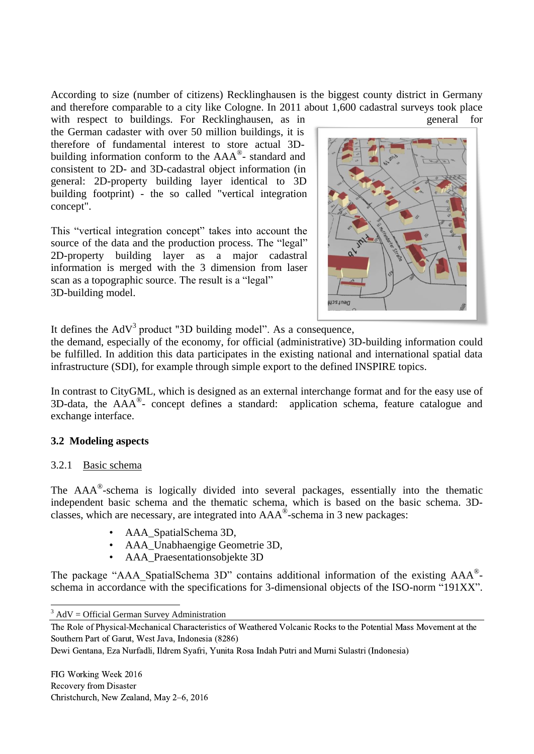According to size (number of citizens) Recklinghausen is the biggest county district in Germany and therefore comparable to a city like Cologne. In 2011 about 1,600 cadastral surveys took place with respect to buildings. For Recklinghausen, as in general for

the German cadaster with over 50 million buildings, it is therefore of fundamental interest to store actual 3Dbuilding information conform to the AAA®- standard and consistent to 2D- and 3D-cadastral object information (in general: 2D-property building layer identical to 3D building footprint) - the so called "vertical integration concept".

This "vertical integration concept" takes into account the source of the data and the production process. The "legal" 2D-property building layer as a major cadastral information is merged with the 3 dimension from laser scan as a topographic source. The result is a "legal" 3D-building model.



It defines the  $AdV<sup>3</sup>$  product "3D building model". As a consequence,

the demand, especially of the economy, for official (administrative) 3D-building information could be fulfilled. In addition this data participates in the existing national and international spatial data infrastructure (SDI), for example through simple export to the defined INSPIRE topics.

In contrast to CityGML, which is designed as an external interchange format and for the easy use of 3D-data, the AAA® - concept defines a standard: application schema, feature catalogue and exchange interface.

### **3.2 Modeling aspects**

### 3.2.1 Basic schema

The AAA<sup>®</sup>-schema is logically divided into several packages, essentially into the thematic independent basic schema and the thematic schema, which is based on the basic schema. 3Dclasses, which are necessary, are integrated into  $AAA^{\circ}$ -schema in 3 new packages:

- AAA\_SpatialSchema 3D,
- AAA\_Unabhaengige Geometrie 3D,
- AAA\_Praesentationsobjekte 3D

The package "AAA\_SpatialSchema 3D" contains additional information of the existing AAA®schema in accordance with the specifications for 3-dimensional objects of the ISO-norm "191XX".

Dewi Gentana, Eza Nurfadli, Ildrem Syafri, Yunita Rosa Indah Putri and Murni Sulastri (Indonesia)

 $\overline{\phantom{a}}$  $3$  AdV = Official German Survey Administration

The Role of Physical-Mechanical Characteristics of Weathered Volcanic Rocks to the Potential Mass Movement at the Southern Part of Garut, West Java, Indonesia (8286)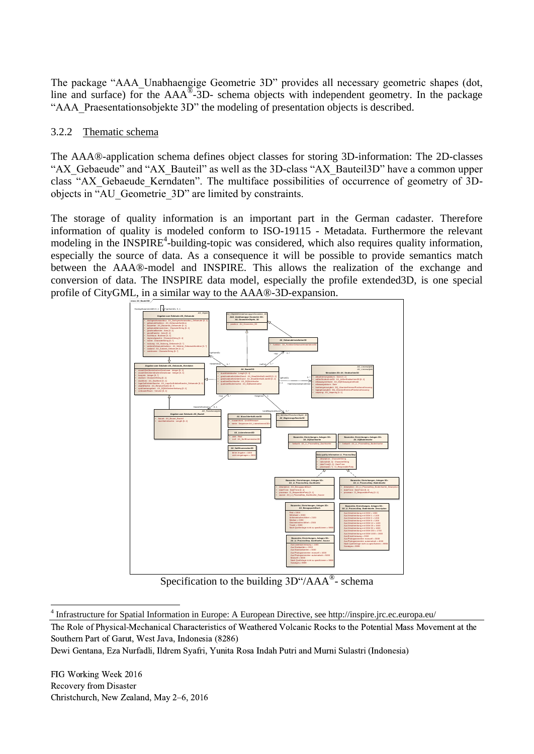The package "AAA\_Unabhaengige Geometrie 3D" provides all necessary geometric shapes (dot, line and surface) for the  $AAA^{\overline{\otimes}-3}D$ - schema objects with independent geometry. In the package "AAA Praesentationsobjekte 3D" the modeling of presentation objects is described.

#### 3.2.2 Thematic schema

The AAA®-application schema defines object classes for storing 3D-information: The 2D-classes "AX\_Gebaeude" and "AX\_Bauteil" as well as the 3D-class "AX\_Bauteil3D" have a common upper class "AX\_Gebaeude\_Kerndaten". The multiface possibilities of occurrence of geometry of 3Dobjects in "AU\_Geometrie\_3D" are limited by constraints.

The storage of quality information is an important part in the German cadaster. Therefore information of quality is modeled conform to ISO-19115 - Metadata. Furthermore the relevant modeling in the INSPIRE<sup>4</sup>-building-topic was considered, which also requires quality information, especially the source of data. As a consequence it will be possible to provide semantics match between the AAA®-model and INSPIRE. This allows the realization of the exchange and conversion of data. The INSPIRE data model, especially the profile extended3D, is one special profile of CityGML, in a similar way to the AAA®-3D-expansion.



Specification to the building 3D"/AAA®- schema

 $\overline{\phantom{a}}$ <sup>4</sup> Infrastructure for Spatial Information in Europe: A European Directive, see http://inspire.jrc.ec.europa.eu/

The Role of Physical-Mechanical Characteristics of Weathered Volcanic Rocks to the Potential Mass Movement at the Southern Part of Garut, West Java, Indonesia (8286)

Dewi Gentana, Eza Nurfadli, Ildrem Syafri, Yunita Rosa Indah Putri and Murni Sulastri (Indonesia)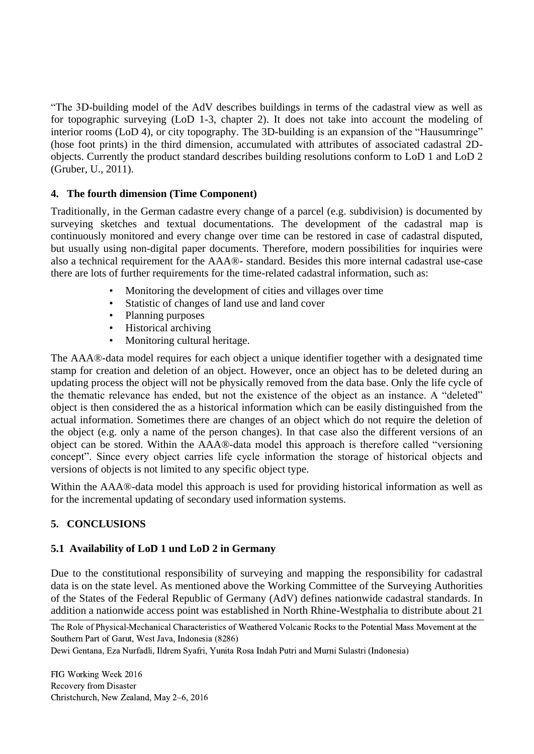"The 3D-building model of the AdV describes buildings in terms of the cadastral view as well as for topographic surveying (LoD 1-3, chapter 2). It does not take into account the modeling of interior rooms (LoD 4), or city topography. The 3D-building is an expansion of the "Hausumringe" (hose foot prints) in the third dimension, accumulated with attributes of associated cadastral 2Dobjects. Currently the product standard describes building resolutions conform to LoD 1 and LoD 2 (Gruber, U., 2011).

### **4. The fourth dimension (Time Component)**

Traditionally, in the German cadastre every change of a parcel (e.g. subdivision) is documented by surveying sketches and textual documentations. The development of the cadastral map is continuously monitored and every change over time can be restored in case of cadastral disputed, but usually using non-digital paper documents. Therefore, modern possibilities for inquiries were also a technical requirement for the AAA®- standard. Besides this more internal cadastral use-case there are lots of further requirements for the time-related cadastral information, such as:

- Monitoring the development of cities and villages over time
- Statistic of changes of land use and land cover
- Planning purposes
- Historical archiving
- Monitoring cultural heritage.

The AAA®-data model requires for each object a unique identifier together with a designated time stamp for creation and deletion of an object. However, once an object has to be deleted during an updating process the object will not be physically removed from the data base. Only the life cycle of the thematic relevance has ended, but not the existence of the object as an instance. A "deleted" object is then considered the as a historical information which can be easily distinguished from the actual information. Sometimes there are changes of an object which do not require the deletion of the object (e.g. only a name of the person changes). In that case also the different versions of an object can be stored. Within the AAA®-data model this approach is therefore called "versioning concept". Since every object carries life cycle information the storage of historical objects and versions of objects is not limited to any specific object type.

Within the AAA®-data model this approach is used for providing historical information as well as for the incremental updating of secondary used information systems.

## **5. CONCLUSIONS**

## **5.1 Availability of LoD 1 und LoD 2 in Germany**

Due to the constitutional responsibility of surveying and mapping the responsibility for cadastral data is on the state level. As mentioned above the [Working](http://dict.leo.org/ende?lp=ende&p=DOKJAA&search=Working&trestr=0x8001) [Committee](http://dict.leo.org/ende?lp=ende&p=DOKJAA&search=Committee&trestr=0x8001) [of](http://dict.leo.org/ende?lp=ende&p=DOKJAA&search=of&trestr=0x8001) [the](http://dict.leo.org/ende?lp=ende&p=DOKJAA&search=the&trestr=0x8001) [Surveying](http://dict.leo.org/ende?lp=ende&p=DOKJAA&search=Surveying&trestr=0x8001) [Authorities](http://dict.leo.org/ende?lp=ende&p=DOKJAA&search=Authorities&trestr=0x8001) [of](http://dict.leo.org/ende?lp=ende&p=DOKJAA&search=of&trestr=0x8001) [the](http://dict.leo.org/ende?lp=ende&p=DOKJAA&search=the&trestr=0x8001) [States](http://dict.leo.org/ende?lp=ende&p=DOKJAA&search=States&trestr=0x8001) [of](http://dict.leo.org/ende?lp=ende&p=DOKJAA&search=of&trestr=0x8001) [the](http://dict.leo.org/ende?lp=ende&p=DOKJAA&search=the&trestr=0x8001) [Federal](http://dict.leo.org/ende?lp=ende&p=DOKJAA&search=Federal&trestr=0x8001) [Republic](http://dict.leo.org/ende?lp=ende&p=DOKJAA&search=Republic&trestr=0x8001) [of](http://dict.leo.org/ende?lp=ende&p=DOKJAA&search=of&trestr=0x8001) [Germany](http://dict.leo.org/ende?lp=ende&p=DOKJAA&search=Germany&trestr=0x8001) (AdV) defines nationwide cadastral standards. In addition a nationwide access point was established in North Rhine-Westphalia to distribute about 21

The Role of Physical-Mechanical Characteristics of Weathered Volcanic Rocks to the Potential Mass Movement at the Southern Part of Garut, West Java, Indonesia (8286)

Dewi Gentana, Eza Nurfadli, Ildrem Syafri, Yunita Rosa Indah Putri and Murni Sulastri (Indonesia)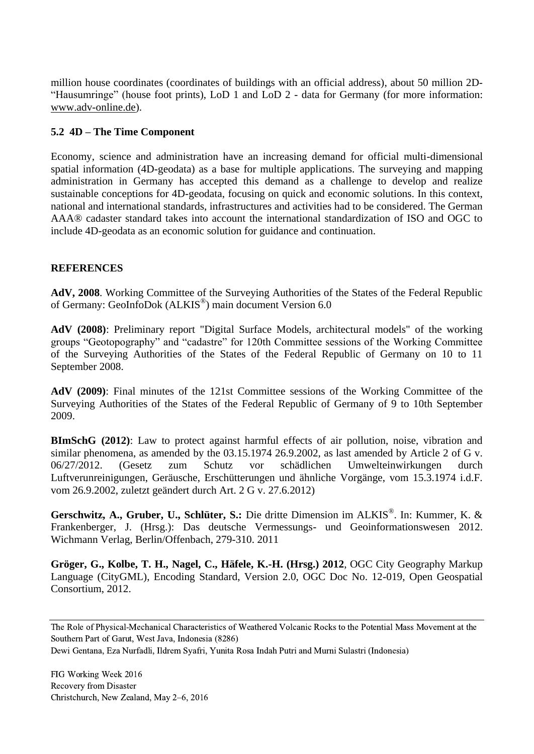million house coordinates (coordinates of buildings with an official address), about 50 million 2D- "Hausumringe" (house foot prints), LoD 1 and LoD 2 - data for Germany (for more information: [www.adv-online.de\)](http://www.adv-online.de/).

#### **5.2 4D – The Time Component**

Economy, science and administration have an increasing demand for official multi-dimensional spatial information (4D-geodata) as a base for multiple applications. The surveying and mapping administration in Germany has accepted this demand as a challenge to develop and realize sustainable conceptions for 4D-geodata, focusing on quick and economic solutions. In this context, national and international standards, infrastructures and activities had to be considered. The German AAA® cadaster standard takes into account the international standardization of ISO and OGC to include 4D-geodata as an economic solution for guidance and continuation.

### **REFERENCES**

**AdV, 2008**. Working Committee of the Surveying Authorities of the States of the Federal Republic of Germany: GeoInfoDok (ALKIS®) main document Version 6.0

**AdV (2008)**: Preliminary report "Digital Surface Models, architectural models" of the working groups "Geotopography" and "cadastre" for 120th Committee sessions of the Working Committee of the Surveying Authorities of the States of the Federal Republic of Germany on 10 to 11 September 2008.

**AdV (2009)**: Final minutes of the 121st Committee sessions of the Working Committee of the Surveying Authorities of the States of the Federal Republic of Germany of 9 to 10th September 2009.

**BImSchG (2012)**: Law to protect against harmful effects of air pollution, noise, vibration and similar phenomena, as amended by the 03.15.1974 26.9.2002, as last amended by Article 2 of G v. 06/27/2012. (Gesetz zum Schutz vor schädlichen Umwelteinwirkungen durch Luftverunreinigungen, Geräusche, Erschütterungen und ähnliche Vorgänge, vom 15.3.1974 i.d.F. vom 26.9.2002, zuletzt geändert durch Art. 2 G v. 27.6.2012)

**Gerschwitz, A., Gruber, U., Schlüter, S.:** Die dritte Dimension im ALKIS® . In: Kummer, K. & Frankenberger, J. (Hrsg.): Das deutsche Vermessungs- und Geoinformationswesen 2012. Wichmann Verlag, Berlin/Offenbach, 279-310. 2011

**Gröger, G., Kolbe, T. H., Nagel, C., Häfele, K.-H. (Hrsg.) 2012**, OGC City Geography Markup Language (CityGML), Encoding Standard, Version 2.0, OGC Doc No. 12-019, Open Geospatial Consortium, 2012.

The Role of Physical-Mechanical Characteristics of Weathered Volcanic Rocks to the Potential Mass Movement at the Southern Part of Garut, West Java, Indonesia (8286)

Dewi Gentana, Eza Nurfadli, Ildrem Syafri, Yunita Rosa Indah Putri and Murni Sulastri (Indonesia)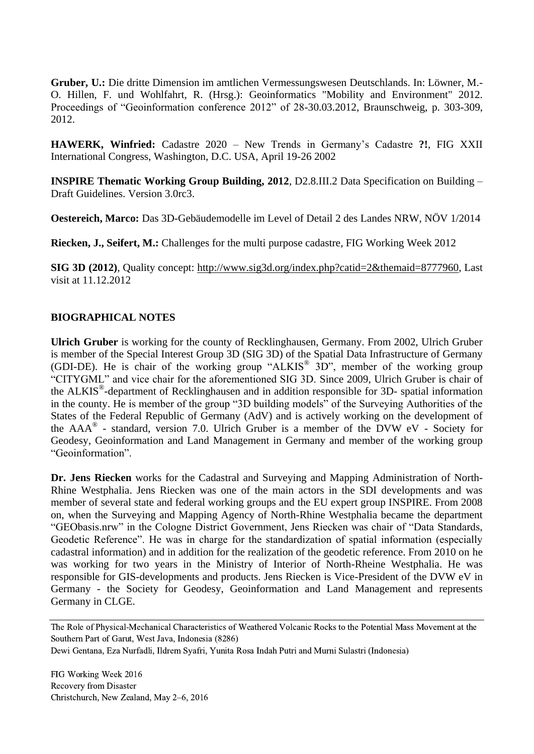**Gruber, U.:** Die dritte Dimension im amtlichen Vermessungswesen Deutschlands. In: Löwner, M.- O. Hillen, F. und Wohlfahrt, R. (Hrsg.): Geoinformatics "Mobility and Environment" 2012. Proceedings of "Geoinformation conference 2012" of 28-30.03.2012, Braunschweig, p. 303-309, 2012.

**HAWERK, Winfried:** Cadastre 2020 – New Trends in Germany's Cadastre **?!**, FIG XXII International Congress, Washington, D.C. USA, April 19-26 2002

**INSPIRE Thematic Working Group Building, 2012**, D2.8.III.2 Data Specification on Building – Draft Guidelines. Version 3.0rc3.

**Oestereich, Marco:** Das 3D-Gebäudemodelle im Level of Detail 2 des Landes NRW, NÖV 1/2014

**Riecken, J., Seifert, M.:** Challenges for the multi purpose cadastre, FIG Working Week 2012

**SIG 3D (2012)**, Quality concept: [http://www.sig3d.org/index.php?catid=2&themaid=8777960,](http://www.sig3d.org/index.php?catid=2&themaid=8777960) Last visit at 11.12.2012

### **BIOGRAPHICAL NOTES**

**Ulrich Gruber** is working for the county of Recklinghausen, Germany. From 2002, Ulrich Gruber is member of the Special Interest Group 3D (SIG 3D) of the Spatial Data Infrastructure of Germany (GDI-DE). He is chair of the working group "ALKIS® 3D", member of the working group "CITYGML" and vice chair for the aforementioned SIG 3D. Since 2009, Ulrich Gruber is chair of the ALKIS® -department of Recklinghausen and in addition responsible for 3D- spatial information in the county. He is member of the group "3D building models" of the Surveying Authorities of the States of the Federal Republic of Germany (AdV) and is actively working on the development of the  $AAA^{\circledR}$  - standard, version 7.0. Ulrich Gruber is a member of the DVW eV - Society for Geodesy, Geoinformation and Land Management in Germany and member of the working group "Geoinformation".

**Dr. Jens Riecken** works for the Cadastral and Surveying and Mapping Administration of North-Rhine Westphalia. Jens Riecken was one of the main actors in the SDI developments and was member of several state and federal working groups and the EU expert group INSPIRE. From 2008 on, when the Surveying and Mapping Agency of North-Rhine Westphalia became the department "GEObasis.nrw" in the Cologne District Government, Jens Riecken was chair of "Data Standards, Geodetic Reference". He was in charge for the standardization of spatial information (especially cadastral information) and in addition for the realization of the geodetic reference. From 2010 on he was working for two years in the Ministry of Interior of North-Rheine Westphalia. He was responsible for GIS-developments and products. Jens Riecken is Vice-President of the DVW eV in Germany - the Society for Geodesy, Geoinformation and Land Management and represents Germany in CLGE.

The Role of Physical-Mechanical Characteristics of Weathered Volcanic Rocks to the Potential Mass Movement at the Southern Part of Garut, West Java, Indonesia (8286)

Dewi Gentana, Eza Nurfadli, Ildrem Syafri, Yunita Rosa Indah Putri and Murni Sulastri (Indonesia)